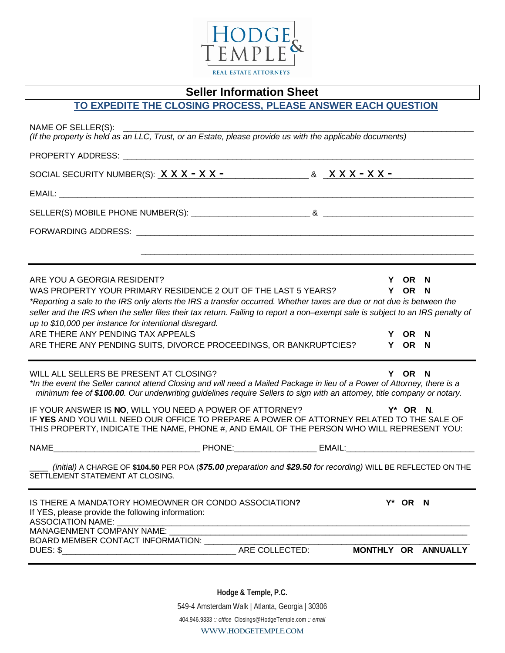

### **Seller Information Sheet**

# **TO EXPEDITE THE CLOSING PROCESS, PLEASE ANSWER EACH QUESTION**

| NAME OF SELLER(S):<br>(If the property is held as an LLC, Trust, or an Estate, please provide us with the applicable documents)                                                                                                                                                                |                                                                                                                      |  |          |                     |
|------------------------------------------------------------------------------------------------------------------------------------------------------------------------------------------------------------------------------------------------------------------------------------------------|----------------------------------------------------------------------------------------------------------------------|--|----------|---------------------|
| <b>PROPERTY ADDRESS:</b> The contract of the contract of the contract of the contract of the contract of the contract of the contract of the contract of the contract of the contract of the contract of the contract of the contra                                                            |                                                                                                                      |  |          |                     |
| SOCIAL SECURITY NUMBER(S): $\frac{X X X - X X - 1}{X - X - 1}$ & $\frac{X X X - X X - 1}{X - X - 1}$                                                                                                                                                                                           |                                                                                                                      |  |          |                     |
|                                                                                                                                                                                                                                                                                                |                                                                                                                      |  |          |                     |
|                                                                                                                                                                                                                                                                                                |                                                                                                                      |  |          |                     |
|                                                                                                                                                                                                                                                                                                |                                                                                                                      |  |          |                     |
|                                                                                                                                                                                                                                                                                                | <u> 1989 - Jan James James, martin de la componentat de la componentat de la componentat de la componentat de la</u> |  |          |                     |
| ARE YOU A GEORGIA RESIDENT?                                                                                                                                                                                                                                                                    |                                                                                                                      |  | Y OR N   |                     |
| WAS PROPERTY YOUR PRIMARY RESIDENCE 2 OUT OF THE LAST 5 YEARS?                                                                                                                                                                                                                                 |                                                                                                                      |  | Y OR N   |                     |
| *Reporting a sale to the IRS only alerts the IRS a transfer occurred. Whether taxes are due or not due is between the<br>seller and the IRS when the seller files their tax return. Failing to report a non–exempt sale is subject to an IRS penalty of                                        |                                                                                                                      |  |          |                     |
| up to \$10,000 per instance for intentional disregard.                                                                                                                                                                                                                                         |                                                                                                                      |  |          |                     |
| ARE THERE ANY PENDING TAX APPEALS                                                                                                                                                                                                                                                              |                                                                                                                      |  | Y OR N   |                     |
| ARE THERE ANY PENDING SUITS, DIVORCE PROCEEDINGS, OR BANKRUPTCIES?                                                                                                                                                                                                                             |                                                                                                                      |  | Y OR N   |                     |
| WILL ALL SELLERS BE PRESENT AT CLOSING?<br>*In the event the Seller cannot attend Closing and will need a Mailed Package in lieu of a Power of Attorney, there is a<br>minimum fee of \$100.00. Our underwriting guidelines require Sellers to sign with an attorney, title company or notary. |                                                                                                                      |  | Y OR N   |                     |
| IF YOUR ANSWER IS <b>NO</b> , WILL YOU NEED A POWER OF ATTORNEY?<br>IF YES AND YOU WILL NEED OUR OFFICE TO PREPARE A POWER OF ATTORNEY RELATED TO THE SALE OF<br>THIS PROPERTY, INDICATE THE NAME, PHONE #, AND EMAIL OF THE PERSON WHO WILL REPRESENT YOU:                                    |                                                                                                                      |  | Y* OR N. |                     |
|                                                                                                                                                                                                                                                                                                |                                                                                                                      |  |          |                     |
| (initial) A CHARGE OF \$104.50 PER POA (\$75.00 preparation and \$29.50 for recording) WILL BE REFLECTED ON THE<br>SETTLEMENT STATEMENT AT CLOSING.                                                                                                                                            |                                                                                                                      |  |          |                     |
| IS THERE A MANDATORY HOMEOWNER OR CONDO ASSOCIATION?<br>If YES, please provide the following information:<br><b>ASSOCIATION NAME:</b>                                                                                                                                                          |                                                                                                                      |  | Y* OR N  |                     |
| MANAGENMENT COMPANY NAME:<br>BOARD MEMBER CONTACT INFORMATION:                                                                                                                                                                                                                                 |                                                                                                                      |  |          |                     |
|                                                                                                                                                                                                                                                                                                |                                                                                                                      |  |          | MONTHLY OR ANNUALLY |
|                                                                                                                                                                                                                                                                                                |                                                                                                                      |  |          |                     |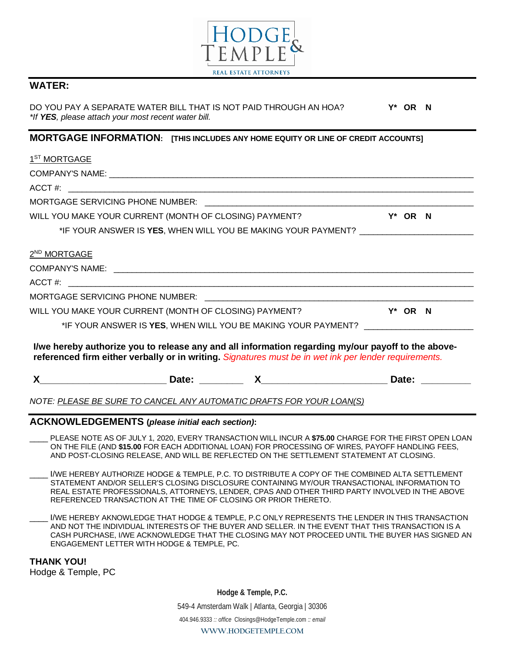

#### **WATER:**

DO YOU PAY A SEPARATE WATER BILL THAT IS NOT PAID THROUGH AN HOA? **Y\* OR N** *\*If YES, please attach your most recent water bill.*

#### **MORTGAGE INFORMATION: [THIS INCLUDES ANY HOME EQUITY OR LINE OF CREDIT ACCOUNTS]**

| 1 <sup>ST</sup> MORTGAGE                                                                                                                                                                                    |  |            |            |
|-------------------------------------------------------------------------------------------------------------------------------------------------------------------------------------------------------------|--|------------|------------|
|                                                                                                                                                                                                             |  |            |            |
|                                                                                                                                                                                                             |  |            |            |
|                                                                                                                                                                                                             |  |            |            |
| WILL YOU MAKE YOUR CURRENT (MONTH OF CLOSING) PAYMENT?                                                                                                                                                      |  | Y* OR N    |            |
| *IF YOUR ANSWER IS YES, WHEN WILL YOU BE MAKING YOUR PAYMENT? __________________                                                                                                                            |  |            |            |
| 2 <sup>ND</sup> MORTGAGE                                                                                                                                                                                    |  |            |            |
|                                                                                                                                                                                                             |  |            |            |
|                                                                                                                                                                                                             |  |            |            |
|                                                                                                                                                                                                             |  |            |            |
| WILL YOU MAKE YOUR CURRENT (MONTH OF CLOSING) PAYMENT?                                                                                                                                                      |  | $Y^*$ OR N |            |
| *IF YOUR ANSWER IS <b>YES</b> , WHEN WILL YOU BE MAKING YOUR PAYMENT?                                                                                                                                       |  |            |            |
| I/we hereby authorize you to release any and all information regarding my/our payoff to the above-<br>referenced firm either verbally or in writing. Signatures must be in wet ink per lender requirements. |  |            |            |
|                                                                                                                                                                                                             |  |            | Date: 2000 |
| NOTE: <u>PLEASE BE SURE TO CANCEL ANY AUTOMATIC DRAFTS FOR YOUR LOAN(S)</u>                                                                                                                                 |  |            |            |

#### **ACKNOWLEDGEMENTS (***please initial each section)***:**

- \_\_\_\_ PLEASE NOTE AS OF JULY 1, 2020, EVERY TRANSACTION WILL INCUR A **\$75.00** CHARGE FOR THE FIRST OPEN LOAN ON THE FILE (AND **\$15.00** FOR EACH ADDITIONAL LOAN) FOR PROCESSING OF WIRES, PAYOFF HANDLING FEES, AND POST-CLOSING RELEASE, AND WILL BE REFLECTED ON THE SETTLEMENT STATEMENT AT CLOSING.
- I/WE HEREBY AUTHORIZE HODGE & TEMPLE, P.C. TO DISTRIBUTE A COPY OF THE COMBINED ALTA SETTLEMENT STATEMENT AND/OR SELLER'S CLOSING DISCLOSURE CONTAINING MY/OUR TRANSACTIONAL INFORMATION TO REAL ESTATE PROFESSIONALS, ATTORNEYS, LENDER, CPAS AND OTHER THIRD PARTY INVOLVED IN THE ABOVE REFERENCED TRANSACTION AT THE TIME OF CLOSING OR PRIOR THERETO.
- I/WE HEREBY AKNOWLEDGE THAT HODGE & TEMPLE, P.C ONLY REPRESENTS THE LENDER IN THIS TRANSACTION AND NOT THE INDIVIDUAL INTERESTS OF THE BUYER AND SELLER. IN THE EVENT THAT THIS TRANSACTION IS A CASH PURCHASE, I/WE ACKNOWLEDGE THAT THE CLOSING MAY NOT PROCEED UNTIL THE BUYER HAS SIGNED AN ENGAGEMENT LETTER WITH HODGE & TEMPLE, PC.

**THANK YOU!** Hodge & Temple, PC

> **Hodge & Temple, P.C.** 549-4 Amsterdam Walk | Atlanta, Georgia | 30306 404.946.9333 *:: office* Closings@HodgeTemple.com *:: email*  **WWW.HODGETEMPLE.COM**